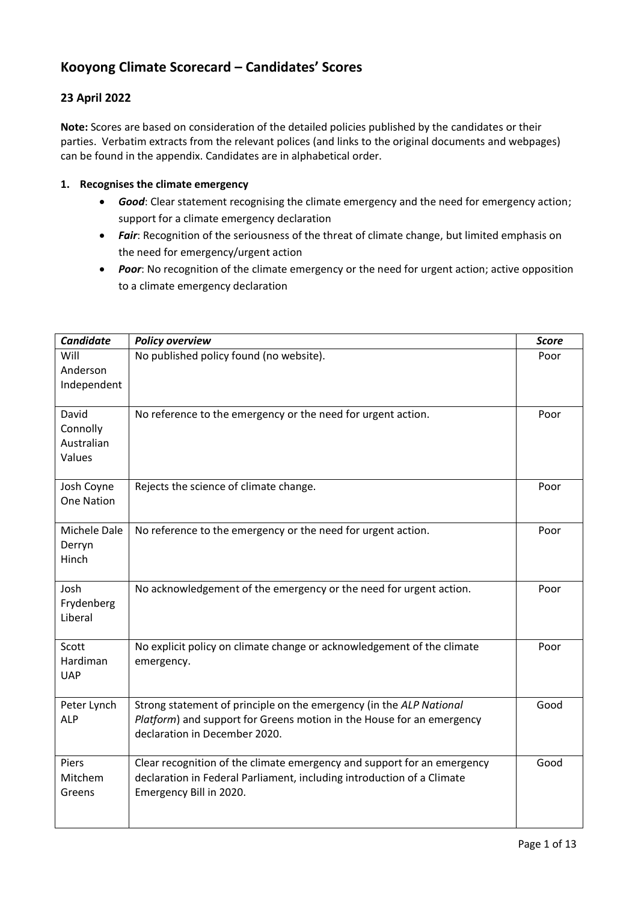# **Kooyong Climate Scorecard – Candidates' Scores**

## **23 April 2022**

**Note:** Scores are based on consideration of the detailed policies published by the candidates or their parties. Verbatim extracts from the relevant polices (and links to the original documents and webpages) can be found in the appendix. Candidates are in alphabetical order.

#### **1. Recognises the climate emergency**

- *Good*: Clear statement recognising the climate emergency and the need for emergency action; support for a climate emergency declaration
- *Fair*: Recognition of the seriousness of the threat of climate change, but limited emphasis on the need for emergency/urgent action
- *Poor*: No recognition of the climate emergency or the need for urgent action; active opposition to a climate emergency declaration

| <b>Candidate</b>                          | <b>Policy overview</b>                                                                                                                                                        | <b>Score</b> |
|-------------------------------------------|-------------------------------------------------------------------------------------------------------------------------------------------------------------------------------|--------------|
| Will<br>Anderson<br>Independent           | No published policy found (no website).                                                                                                                                       | Poor         |
| David<br>Connolly<br>Australian<br>Values | No reference to the emergency or the need for urgent action.                                                                                                                  | Poor         |
| Josh Coyne<br><b>One Nation</b>           | Rejects the science of climate change.                                                                                                                                        | Poor         |
| Michele Dale<br>Derryn<br>Hinch           | No reference to the emergency or the need for urgent action.                                                                                                                  | Poor         |
| Josh<br>Frydenberg<br>Liberal             | No acknowledgement of the emergency or the need for urgent action.                                                                                                            | Poor         |
| Scott<br>Hardiman<br><b>UAP</b>           | No explicit policy on climate change or acknowledgement of the climate<br>emergency.                                                                                          | Poor         |
| Peter Lynch<br><b>ALP</b>                 | Strong statement of principle on the emergency (in the ALP National<br>Platform) and support for Greens motion in the House for an emergency<br>declaration in December 2020. | Good         |
| Piers<br>Mitchem<br>Greens                | Clear recognition of the climate emergency and support for an emergency<br>declaration in Federal Parliament, including introduction of a Climate<br>Emergency Bill in 2020.  | Good         |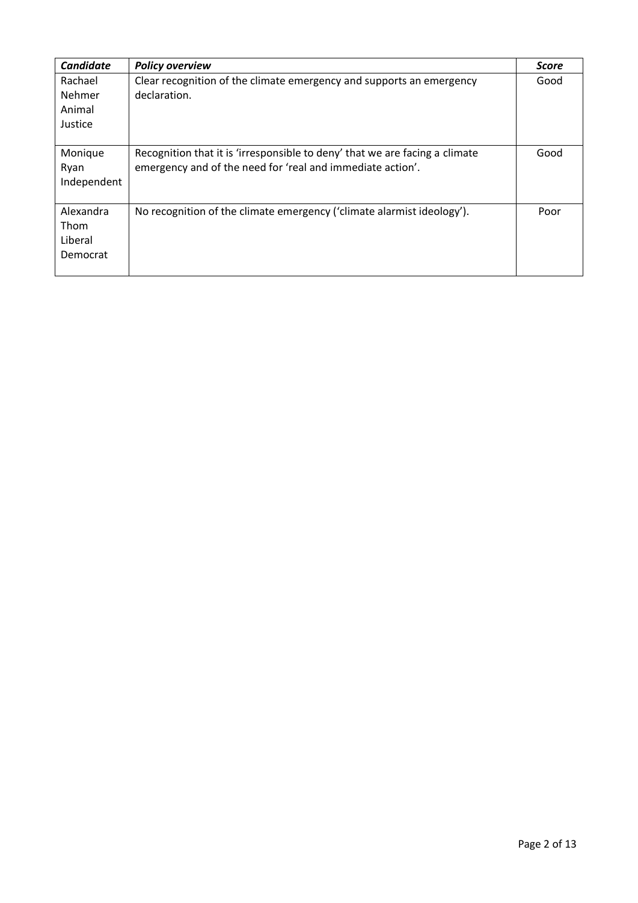| <b>Candidate</b> | <b>Policy overview</b>                                                      | <b>Score</b> |
|------------------|-----------------------------------------------------------------------------|--------------|
| Rachael          | Clear recognition of the climate emergency and supports an emergency        | Good         |
| Nehmer           | declaration.                                                                |              |
| Animal           |                                                                             |              |
| Justice          |                                                                             |              |
|                  |                                                                             |              |
| Monique          | Recognition that it is 'irresponsible to deny' that we are facing a climate | Good         |
| Ryan             | emergency and of the need for 'real and immediate action'.                  |              |
| Independent      |                                                                             |              |
|                  |                                                                             |              |
| Alexandra        | No recognition of the climate emergency ('climate alarmist ideology').      | Poor         |
| Thom             |                                                                             |              |
| Liberal          |                                                                             |              |
| Democrat         |                                                                             |              |
|                  |                                                                             |              |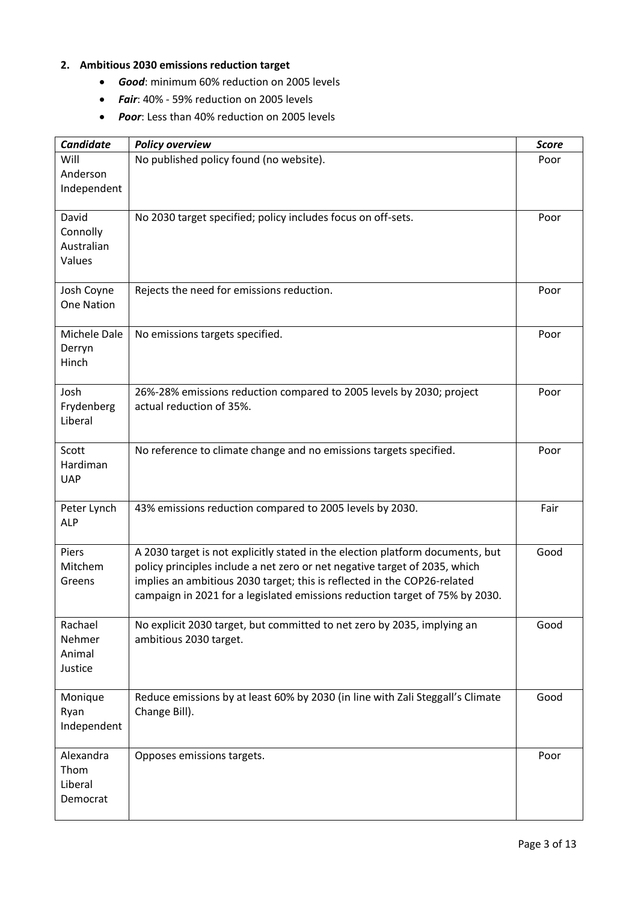# **2. Ambitious 2030 emissions reduction target**

- *Good*: minimum 60% reduction on 2005 levels
- **Fair**: 40% 59% reduction on 2005 levels
- *Poor*: Less than 40% reduction on 2005 levels

| <b>Candidate</b>                          | <b>Policy overview</b>                                                                                                                                                                                                                                                                                                   | <b>Score</b> |
|-------------------------------------------|--------------------------------------------------------------------------------------------------------------------------------------------------------------------------------------------------------------------------------------------------------------------------------------------------------------------------|--------------|
| Will<br>Anderson<br>Independent           | No published policy found (no website).                                                                                                                                                                                                                                                                                  | Poor         |
| David<br>Connolly<br>Australian<br>Values | No 2030 target specified; policy includes focus on off-sets.                                                                                                                                                                                                                                                             | Poor         |
| Josh Coyne<br><b>One Nation</b>           | Rejects the need for emissions reduction.                                                                                                                                                                                                                                                                                | Poor         |
| Michele Dale<br>Derryn<br>Hinch           | No emissions targets specified.                                                                                                                                                                                                                                                                                          | Poor         |
| Josh<br>Frydenberg<br>Liberal             | 26%-28% emissions reduction compared to 2005 levels by 2030; project<br>actual reduction of 35%.                                                                                                                                                                                                                         | Poor         |
| Scott<br>Hardiman<br><b>UAP</b>           | No reference to climate change and no emissions targets specified.                                                                                                                                                                                                                                                       | Poor         |
| Peter Lynch<br><b>ALP</b>                 | 43% emissions reduction compared to 2005 levels by 2030.                                                                                                                                                                                                                                                                 | Fair         |
| Piers<br>Mitchem<br>Greens                | A 2030 target is not explicitly stated in the election platform documents, but<br>policy principles include a net zero or net negative target of 2035, which<br>implies an ambitious 2030 target; this is reflected in the COP26-related<br>campaign in 2021 for a legislated emissions reduction target of 75% by 2030. | Good         |
| Rachael<br>Nehmer<br>Animal<br>Justice    | No explicit 2030 target, but committed to net zero by 2035, implying an<br>ambitious 2030 target.                                                                                                                                                                                                                        | Good         |
| Monique<br>Ryan<br>Independent            | Reduce emissions by at least 60% by 2030 (in line with Zali Steggall's Climate<br>Change Bill).                                                                                                                                                                                                                          | Good         |
| Alexandra<br>Thom<br>Liberal<br>Democrat  | Opposes emissions targets.                                                                                                                                                                                                                                                                                               | Poor         |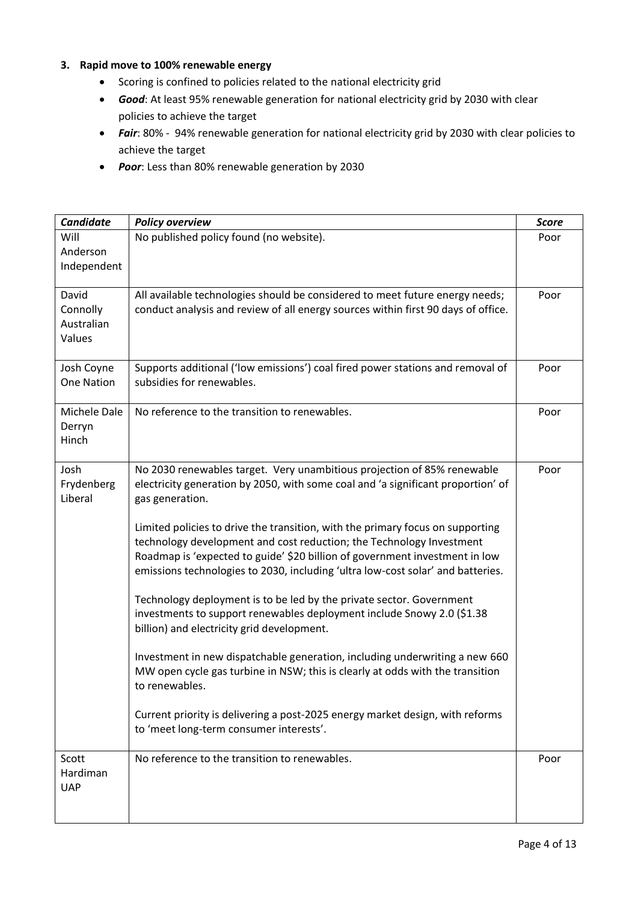### **3. Rapid move to 100% renewable energy**

- Scoring is confined to policies related to the national electricity grid
- *Good*: At least 95% renewable generation for national electricity grid by 2030 with clear policies to achieve the target
- *Fair*: 80% 94% renewable generation for national electricity grid by 2030 with clear policies to achieve the target
- *Poor*: Less than 80% renewable generation by 2030

| <b>Candidate</b>                          | <b>Policy overview</b>                                                                                                                                                                                                                                                                                                                                                                                                                                                                                                                                                                                                                                                                                                                                                                                                                                                                                                                                                                                                   | <b>Score</b> |
|-------------------------------------------|--------------------------------------------------------------------------------------------------------------------------------------------------------------------------------------------------------------------------------------------------------------------------------------------------------------------------------------------------------------------------------------------------------------------------------------------------------------------------------------------------------------------------------------------------------------------------------------------------------------------------------------------------------------------------------------------------------------------------------------------------------------------------------------------------------------------------------------------------------------------------------------------------------------------------------------------------------------------------------------------------------------------------|--------------|
| Will<br>Anderson<br>Independent           | No published policy found (no website).                                                                                                                                                                                                                                                                                                                                                                                                                                                                                                                                                                                                                                                                                                                                                                                                                                                                                                                                                                                  | Poor         |
| David<br>Connolly<br>Australian<br>Values | All available technologies should be considered to meet future energy needs;<br>conduct analysis and review of all energy sources within first 90 days of office.                                                                                                                                                                                                                                                                                                                                                                                                                                                                                                                                                                                                                                                                                                                                                                                                                                                        | Poor         |
| Josh Coyne<br><b>One Nation</b>           | Supports additional ('low emissions') coal fired power stations and removal of<br>subsidies for renewables.                                                                                                                                                                                                                                                                                                                                                                                                                                                                                                                                                                                                                                                                                                                                                                                                                                                                                                              | Poor         |
| Michele Dale<br>Derryn<br>Hinch           | No reference to the transition to renewables.                                                                                                                                                                                                                                                                                                                                                                                                                                                                                                                                                                                                                                                                                                                                                                                                                                                                                                                                                                            | Poor         |
| Josh<br>Frydenberg<br>Liberal             | No 2030 renewables target. Very unambitious projection of 85% renewable<br>electricity generation by 2050, with some coal and 'a significant proportion' of<br>gas generation.<br>Limited policies to drive the transition, with the primary focus on supporting<br>technology development and cost reduction; the Technology Investment<br>Roadmap is 'expected to guide' \$20 billion of government investment in low<br>emissions technologies to 2030, including 'ultra low-cost solar' and batteries.<br>Technology deployment is to be led by the private sector. Government<br>investments to support renewables deployment include Snowy 2.0 (\$1.38<br>billion) and electricity grid development.<br>Investment in new dispatchable generation, including underwriting a new 660<br>MW open cycle gas turbine in NSW; this is clearly at odds with the transition<br>to renewables.<br>Current priority is delivering a post-2025 energy market design, with reforms<br>to 'meet long-term consumer interests'. | Poor         |
| Scott<br>Hardiman<br><b>UAP</b>           | No reference to the transition to renewables.                                                                                                                                                                                                                                                                                                                                                                                                                                                                                                                                                                                                                                                                                                                                                                                                                                                                                                                                                                            | Poor         |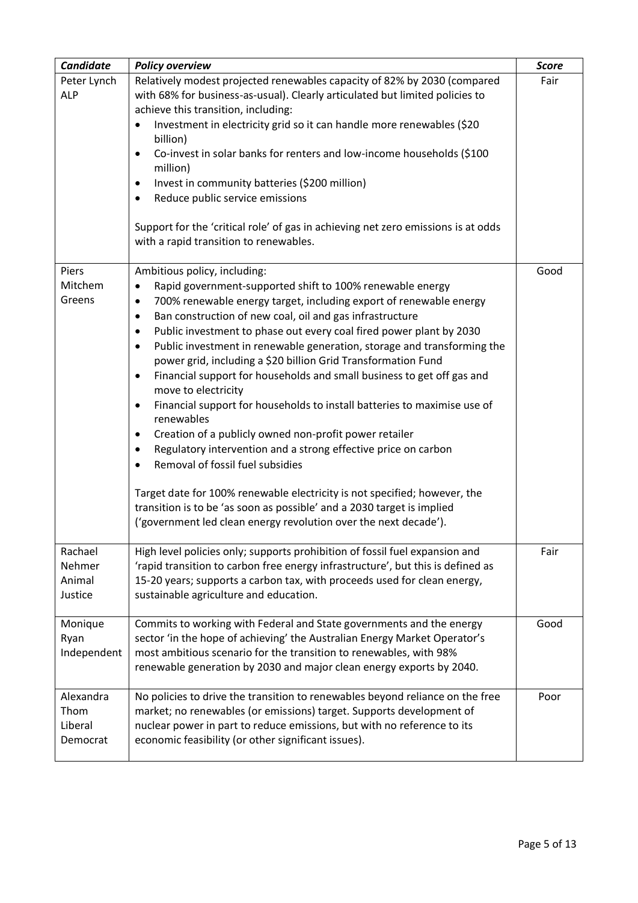| Candidate                                | <b>Policy overview</b>                                                                                                                                                                                                                                                                                                                                                                                                                                                                                                                                                                                                                                                                                                                                                                                                                                                                                                                                                                                                                                                                                                                                                 | <b>Score</b> |
|------------------------------------------|------------------------------------------------------------------------------------------------------------------------------------------------------------------------------------------------------------------------------------------------------------------------------------------------------------------------------------------------------------------------------------------------------------------------------------------------------------------------------------------------------------------------------------------------------------------------------------------------------------------------------------------------------------------------------------------------------------------------------------------------------------------------------------------------------------------------------------------------------------------------------------------------------------------------------------------------------------------------------------------------------------------------------------------------------------------------------------------------------------------------------------------------------------------------|--------------|
| Peter Lynch<br><b>ALP</b>                | Relatively modest projected renewables capacity of 82% by 2030 (compared<br>with 68% for business-as-usual). Clearly articulated but limited policies to<br>achieve this transition, including:<br>Investment in electricity grid so it can handle more renewables (\$20<br>$\bullet$<br>billion)<br>Co-invest in solar banks for renters and low-income households (\$100<br>$\bullet$<br>million)<br>Invest in community batteries (\$200 million)<br>$\bullet$<br>Reduce public service emissions<br>$\bullet$<br>Support for the 'critical role' of gas in achieving net zero emissions is at odds<br>with a rapid transition to renewables.                                                                                                                                                                                                                                                                                                                                                                                                                                                                                                                       | Fair         |
| Piers<br>Mitchem<br>Greens               | Ambitious policy, including:<br>Rapid government-supported shift to 100% renewable energy<br>$\bullet$<br>700% renewable energy target, including export of renewable energy<br>$\bullet$<br>Ban construction of new coal, oil and gas infrastructure<br>$\bullet$<br>Public investment to phase out every coal fired power plant by 2030<br>$\bullet$<br>Public investment in renewable generation, storage and transforming the<br>$\bullet$<br>power grid, including a \$20 billion Grid Transformation Fund<br>Financial support for households and small business to get off gas and<br>$\bullet$<br>move to electricity<br>Financial support for households to install batteries to maximise use of<br>$\bullet$<br>renewables<br>Creation of a publicly owned non-profit power retailer<br>$\bullet$<br>Regulatory intervention and a strong effective price on carbon<br>$\bullet$<br>Removal of fossil fuel subsidies<br>$\bullet$<br>Target date for 100% renewable electricity is not specified; however, the<br>transition is to be 'as soon as possible' and a 2030 target is implied<br>('government led clean energy revolution over the next decade'). | Good         |
| Rachael<br>Nehmer<br>Animal<br>Justice   | High level policies only; supports prohibition of fossil fuel expansion and<br>'rapid transition to carbon free energy infrastructure', but this is defined as<br>15-20 years; supports a carbon tax, with proceeds used for clean energy,<br>sustainable agriculture and education.                                                                                                                                                                                                                                                                                                                                                                                                                                                                                                                                                                                                                                                                                                                                                                                                                                                                                   | Fair         |
| Monique<br>Ryan<br>Independent           | Commits to working with Federal and State governments and the energy<br>sector 'in the hope of achieving' the Australian Energy Market Operator's<br>most ambitious scenario for the transition to renewables, with 98%<br>renewable generation by 2030 and major clean energy exports by 2040.                                                                                                                                                                                                                                                                                                                                                                                                                                                                                                                                                                                                                                                                                                                                                                                                                                                                        | Good         |
| Alexandra<br>Thom<br>Liberal<br>Democrat | No policies to drive the transition to renewables beyond reliance on the free<br>market; no renewables (or emissions) target. Supports development of<br>nuclear power in part to reduce emissions, but with no reference to its<br>economic feasibility (or other significant issues).                                                                                                                                                                                                                                                                                                                                                                                                                                                                                                                                                                                                                                                                                                                                                                                                                                                                                | Poor         |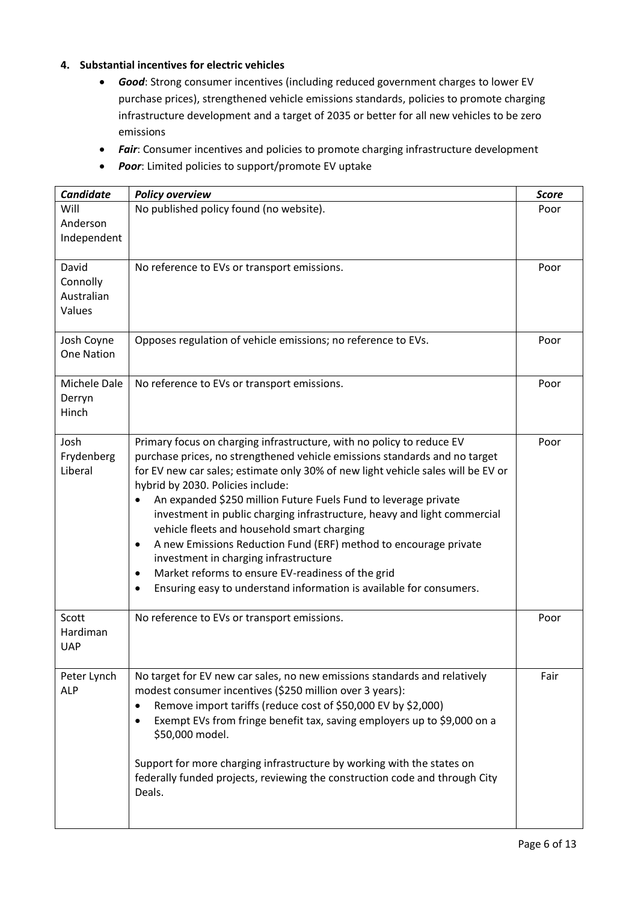### **4. Substantial incentives for electric vehicles**

- *Good*: Strong consumer incentives (including reduced government charges to lower EV purchase prices), strengthened vehicle emissions standards, policies to promote charging infrastructure development and a target of 2035 or better for all new vehicles to be zero emissions
- *Fair*: Consumer incentives and policies to promote charging infrastructure development
- *Poor*: Limited policies to support/promote EV uptake

| Candidate                                 | <b>Policy overview</b>                                                                                                                                                                                                                                                                                                                                                                                                                                                                                                                                                                                                                                                                                                                     | <b>Score</b> |
|-------------------------------------------|--------------------------------------------------------------------------------------------------------------------------------------------------------------------------------------------------------------------------------------------------------------------------------------------------------------------------------------------------------------------------------------------------------------------------------------------------------------------------------------------------------------------------------------------------------------------------------------------------------------------------------------------------------------------------------------------------------------------------------------------|--------------|
| Will<br>Anderson<br>Independent           | No published policy found (no website).                                                                                                                                                                                                                                                                                                                                                                                                                                                                                                                                                                                                                                                                                                    | Poor         |
| David<br>Connolly<br>Australian<br>Values | No reference to EVs or transport emissions.                                                                                                                                                                                                                                                                                                                                                                                                                                                                                                                                                                                                                                                                                                | Poor         |
| Josh Coyne<br><b>One Nation</b>           | Opposes regulation of vehicle emissions; no reference to EVs.                                                                                                                                                                                                                                                                                                                                                                                                                                                                                                                                                                                                                                                                              | Poor         |
| Michele Dale<br>Derryn<br>Hinch           | No reference to EVs or transport emissions.                                                                                                                                                                                                                                                                                                                                                                                                                                                                                                                                                                                                                                                                                                | Poor         |
| Josh<br>Frydenberg<br>Liberal             | Primary focus on charging infrastructure, with no policy to reduce EV<br>purchase prices, no strengthened vehicle emissions standards and no target<br>for EV new car sales; estimate only 30% of new light vehicle sales will be EV or<br>hybrid by 2030. Policies include:<br>An expanded \$250 million Future Fuels Fund to leverage private<br>$\bullet$<br>investment in public charging infrastructure, heavy and light commercial<br>vehicle fleets and household smart charging<br>A new Emissions Reduction Fund (ERF) method to encourage private<br>٠<br>investment in charging infrastructure<br>Market reforms to ensure EV-readiness of the grid<br>٠<br>Ensuring easy to understand information is available for consumers. | Poor         |
| Scott<br>Hardiman<br><b>UAP</b>           | No reference to EVs or transport emissions.                                                                                                                                                                                                                                                                                                                                                                                                                                                                                                                                                                                                                                                                                                | Poor         |
| Peter Lynch<br><b>ALP</b>                 | No target for EV new car sales, no new emissions standards and relatively<br>modest consumer incentives (\$250 million over 3 years):<br>Remove import tariffs (reduce cost of \$50,000 EV by \$2,000)<br>٠<br>Exempt EVs from fringe benefit tax, saving employers up to \$9,000 on a<br>\$50,000 model.<br>Support for more charging infrastructure by working with the states on<br>federally funded projects, reviewing the construction code and through City<br>Deals.                                                                                                                                                                                                                                                               | Fair         |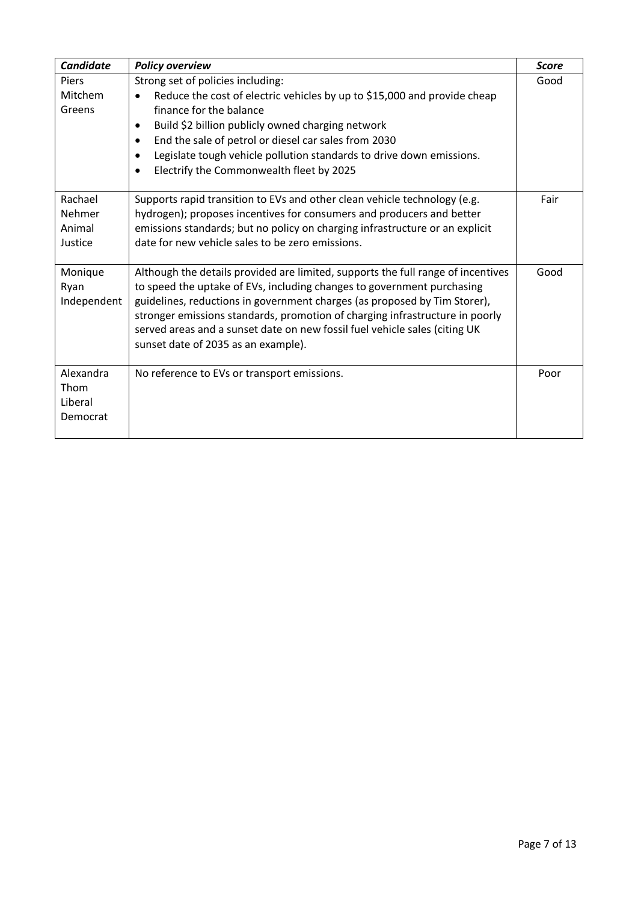| <b>Candidate</b>                         | <b>Policy overview</b>                                                                                                                                                                                                                                                                                                                                                                                                                       | <b>Score</b> |
|------------------------------------------|----------------------------------------------------------------------------------------------------------------------------------------------------------------------------------------------------------------------------------------------------------------------------------------------------------------------------------------------------------------------------------------------------------------------------------------------|--------------|
| <b>Piers</b><br>Mitchem<br>Greens        | Strong set of policies including:<br>Reduce the cost of electric vehicles by up to \$15,000 and provide cheap<br>finance for the balance<br>Build \$2 billion publicly owned charging network<br>$\bullet$<br>End the sale of petrol or diesel car sales from 2030<br>$\bullet$<br>Legislate tough vehicle pollution standards to drive down emissions.<br>$\bullet$<br>Electrify the Commonwealth fleet by 2025<br>$\bullet$                | Good         |
| Rachael<br>Nehmer<br>Animal<br>Justice   | Supports rapid transition to EVs and other clean vehicle technology (e.g.<br>hydrogen); proposes incentives for consumers and producers and better<br>emissions standards; but no policy on charging infrastructure or an explicit<br>date for new vehicle sales to be zero emissions.                                                                                                                                                       | Fair         |
| Monique<br>Ryan<br>Independent           | Although the details provided are limited, supports the full range of incentives<br>to speed the uptake of EVs, including changes to government purchasing<br>guidelines, reductions in government charges (as proposed by Tim Storer),<br>stronger emissions standards, promotion of charging infrastructure in poorly<br>served areas and a sunset date on new fossil fuel vehicle sales (citing UK<br>sunset date of 2035 as an example). | Good         |
| Alexandra<br>Thom<br>Liberal<br>Democrat | No reference to EVs or transport emissions.                                                                                                                                                                                                                                                                                                                                                                                                  | Poor         |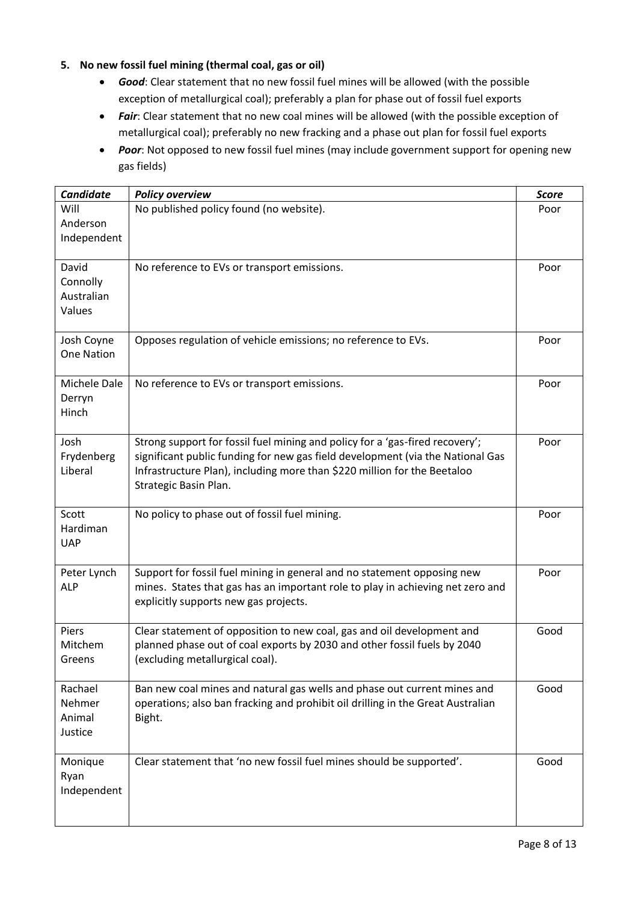## **5. No new fossil fuel mining (thermal coal, gas or oil)**

- *Good*: Clear statement that no new fossil fuel mines will be allowed (with the possible exception of metallurgical coal); preferably a plan for phase out of fossil fuel exports
- Fair: Clear statement that no new coal mines will be allowed (with the possible exception of metallurgical coal); preferably no new fracking and a phase out plan for fossil fuel exports
- *Poor*: Not opposed to new fossil fuel mines (may include government support for opening new gas fields)

| <b>Candidate</b>                          | <b>Policy overview</b>                                                                                                                                                                                                                                              | <b>Score</b> |
|-------------------------------------------|---------------------------------------------------------------------------------------------------------------------------------------------------------------------------------------------------------------------------------------------------------------------|--------------|
| Will<br>Anderson<br>Independent           | No published policy found (no website).                                                                                                                                                                                                                             | Poor         |
| David<br>Connolly<br>Australian<br>Values | No reference to EVs or transport emissions.                                                                                                                                                                                                                         | Poor         |
| Josh Coyne<br><b>One Nation</b>           | Opposes regulation of vehicle emissions; no reference to EVs.                                                                                                                                                                                                       | Poor         |
| Michele Dale<br>Derryn<br>Hinch           | No reference to EVs or transport emissions.                                                                                                                                                                                                                         | Poor         |
| Josh<br>Frydenberg<br>Liberal             | Strong support for fossil fuel mining and policy for a 'gas-fired recovery';<br>significant public funding for new gas field development (via the National Gas<br>Infrastructure Plan), including more than \$220 million for the Beetaloo<br>Strategic Basin Plan. | Poor         |
| Scott<br>Hardiman<br><b>UAP</b>           | No policy to phase out of fossil fuel mining.                                                                                                                                                                                                                       | Poor         |
| Peter Lynch<br><b>ALP</b>                 | Support for fossil fuel mining in general and no statement opposing new<br>mines. States that gas has an important role to play in achieving net zero and<br>explicitly supports new gas projects.                                                                  | Poor         |
| Piers<br>Mitchem<br>Greens                | Clear statement of opposition to new coal, gas and oil development and<br>planned phase out of coal exports by 2030 and other fossil fuels by 2040<br>(excluding metallurgical coal).                                                                               | Good         |
| Rachael<br>Nehmer<br>Animal<br>Justice    | Ban new coal mines and natural gas wells and phase out current mines and<br>operations; also ban fracking and prohibit oil drilling in the Great Australian<br>Bight.                                                                                               | Good         |
| Monique<br>Ryan<br>Independent            | Clear statement that 'no new fossil fuel mines should be supported'.                                                                                                                                                                                                | Good         |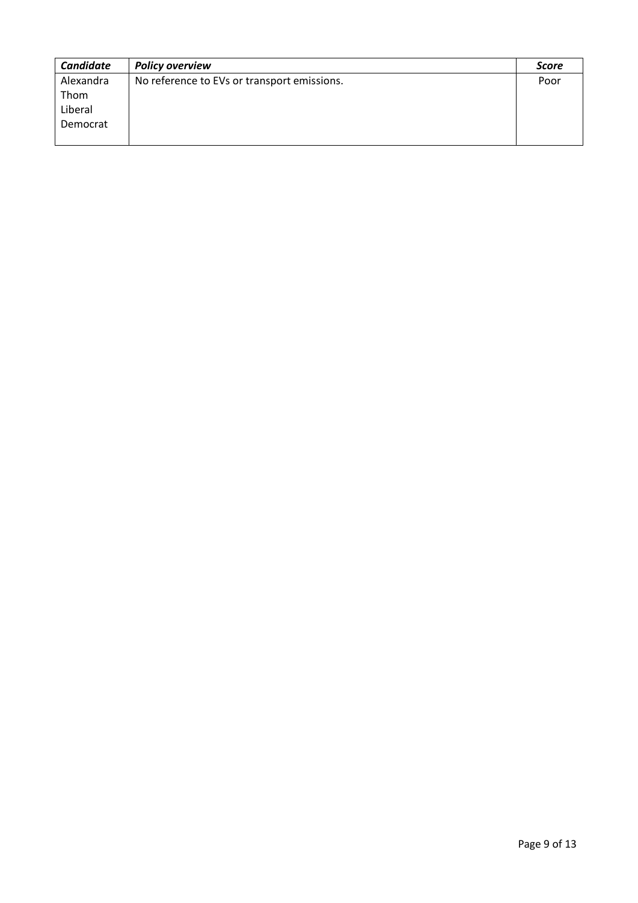| <b>Candidate</b> | <b>Policy overview</b>                      | <b>Score</b> |
|------------------|---------------------------------------------|--------------|
| Alexandra        | No reference to EVs or transport emissions. | Poor         |
| Thom             |                                             |              |
| Liberal          |                                             |              |
| Democrat         |                                             |              |
|                  |                                             |              |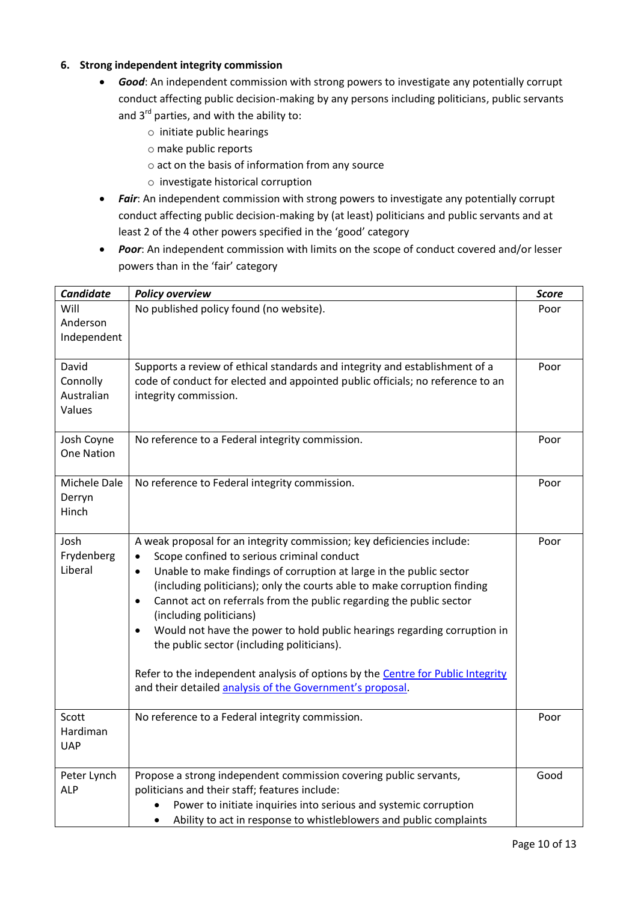#### **6. Strong independent integrity commission**

- *Good*: An independent commission with strong powers to investigate any potentially corrupt conduct affecting public decision-making by any persons including politicians, public servants and  $3^{rd}$  parties, and with the ability to:
	- o initiate public hearings
	- o make public reports
	- o act on the basis of information from any source
	- o investigate historical corruption
- *Fair*: An independent commission with strong powers to investigate any potentially corrupt conduct affecting public decision-making by (at least) politicians and public servants and at least 2 of the 4 other powers specified in the 'good' category
- *Poor*: An independent commission with limits on the scope of conduct covered and/or lesser powers than in the 'fair' category

| <b>Candidate</b>                          | <b>Policy overview</b>                                                                                                                                                                                                                                                                                                                                                                                                                                                                                                                                                                                                                                                                                  | <b>Score</b> |
|-------------------------------------------|---------------------------------------------------------------------------------------------------------------------------------------------------------------------------------------------------------------------------------------------------------------------------------------------------------------------------------------------------------------------------------------------------------------------------------------------------------------------------------------------------------------------------------------------------------------------------------------------------------------------------------------------------------------------------------------------------------|--------------|
| Will<br>Anderson<br>Independent           | No published policy found (no website).                                                                                                                                                                                                                                                                                                                                                                                                                                                                                                                                                                                                                                                                 | Poor         |
| David<br>Connolly<br>Australian<br>Values | Supports a review of ethical standards and integrity and establishment of a<br>code of conduct for elected and appointed public officials; no reference to an<br>integrity commission.                                                                                                                                                                                                                                                                                                                                                                                                                                                                                                                  | Poor         |
| Josh Coyne<br><b>One Nation</b>           | No reference to a Federal integrity commission.                                                                                                                                                                                                                                                                                                                                                                                                                                                                                                                                                                                                                                                         | Poor         |
| Michele Dale<br>Derryn<br>Hinch           | No reference to Federal integrity commission.                                                                                                                                                                                                                                                                                                                                                                                                                                                                                                                                                                                                                                                           | Poor         |
| Josh<br>Frydenberg<br>Liberal             | A weak proposal for an integrity commission; key deficiencies include:<br>Scope confined to serious criminal conduct<br>$\bullet$<br>Unable to make findings of corruption at large in the public sector<br>$\bullet$<br>(including politicians); only the courts able to make corruption finding<br>Cannot act on referrals from the public regarding the public sector<br>$\bullet$<br>(including politicians)<br>Would not have the power to hold public hearings regarding corruption in<br>$\bullet$<br>the public sector (including politicians).<br>Refer to the independent analysis of options by the Centre for Public Integrity<br>and their detailed analysis of the Government's proposal. | Poor         |
| Scott<br>Hardiman<br><b>UAP</b>           | No reference to a Federal integrity commission.                                                                                                                                                                                                                                                                                                                                                                                                                                                                                                                                                                                                                                                         | Poor         |
| Peter Lynch<br><b>ALP</b>                 | Propose a strong independent commission covering public servants,<br>politicians and their staff; features include:<br>Power to initiate inquiries into serious and systemic corruption<br>Ability to act in response to whistleblowers and public complaints<br>$\bullet$                                                                                                                                                                                                                                                                                                                                                                                                                              | Good         |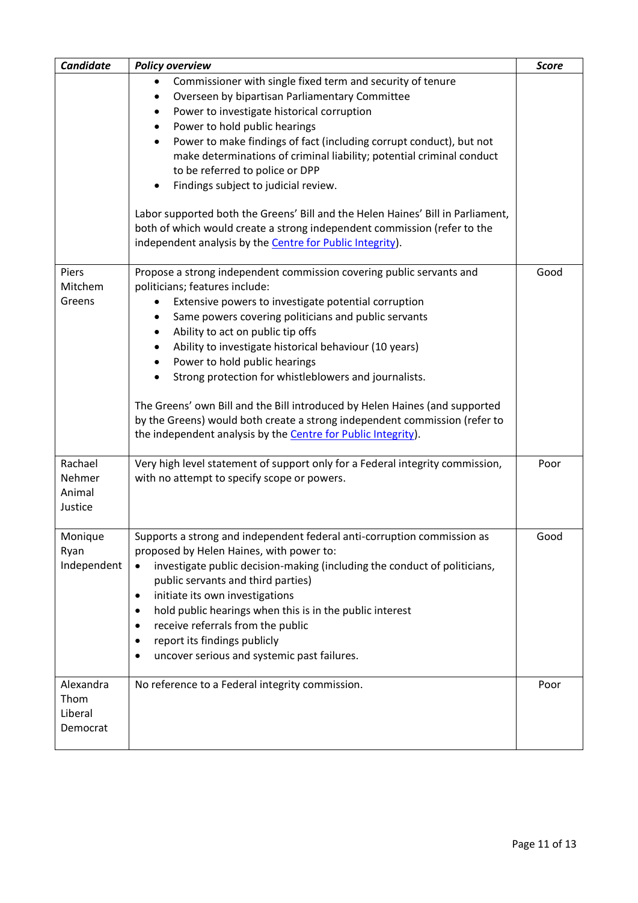|                                          | Commissioner with single fixed term and security of tenure<br>$\bullet$                                                                                                                                                    |      |
|------------------------------------------|----------------------------------------------------------------------------------------------------------------------------------------------------------------------------------------------------------------------------|------|
|                                          |                                                                                                                                                                                                                            |      |
|                                          | Overseen by bipartisan Parliamentary Committee                                                                                                                                                                             |      |
|                                          | Power to investigate historical corruption                                                                                                                                                                                 |      |
|                                          | Power to hold public hearings                                                                                                                                                                                              |      |
|                                          | Power to make findings of fact (including corrupt conduct), but not                                                                                                                                                        |      |
|                                          | make determinations of criminal liability; potential criminal conduct                                                                                                                                                      |      |
|                                          | to be referred to police or DPP                                                                                                                                                                                            |      |
|                                          | Findings subject to judicial review.                                                                                                                                                                                       |      |
|                                          | Labor supported both the Greens' Bill and the Helen Haines' Bill in Parliament,                                                                                                                                            |      |
|                                          | both of which would create a strong independent commission (refer to the                                                                                                                                                   |      |
|                                          | independent analysis by the Centre for Public Integrity).                                                                                                                                                                  |      |
| Piers                                    | Propose a strong independent commission covering public servants and                                                                                                                                                       | Good |
| Mitchem                                  | politicians; features include:                                                                                                                                                                                             |      |
| Greens                                   | Extensive powers to investigate potential corruption<br>٠                                                                                                                                                                  |      |
|                                          | Same powers covering politicians and public servants                                                                                                                                                                       |      |
|                                          | Ability to act on public tip offs                                                                                                                                                                                          |      |
|                                          | Ability to investigate historical behaviour (10 years)                                                                                                                                                                     |      |
|                                          | Power to hold public hearings                                                                                                                                                                                              |      |
|                                          | Strong protection for whistleblowers and journalists.                                                                                                                                                                      |      |
|                                          | The Greens' own Bill and the Bill introduced by Helen Haines (and supported<br>by the Greens) would both create a strong independent commission (refer to<br>the independent analysis by the Centre for Public Integrity). |      |
|                                          |                                                                                                                                                                                                                            |      |
| Rachael<br>Nehmer<br>Animal<br>Justice   | Very high level statement of support only for a Federal integrity commission,<br>with no attempt to specify scope or powers.                                                                                               | Poor |
|                                          |                                                                                                                                                                                                                            |      |
| Monique<br>Ryan                          | Supports a strong and independent federal anti-corruption commission as<br>proposed by Helen Haines, with power to:                                                                                                        | Good |
| Independent                              | investigate public decision-making (including the conduct of politicians,                                                                                                                                                  |      |
|                                          | public servants and third parties)                                                                                                                                                                                         |      |
|                                          | initiate its own investigations                                                                                                                                                                                            |      |
|                                          | hold public hearings when this is in the public interest                                                                                                                                                                   |      |
|                                          | receive referrals from the public                                                                                                                                                                                          |      |
|                                          | report its findings publicly                                                                                                                                                                                               |      |
|                                          | uncover serious and systemic past failures.                                                                                                                                                                                |      |
| Alexandra<br>Thom<br>Liberal<br>Democrat | No reference to a Federal integrity commission.                                                                                                                                                                            | Poor |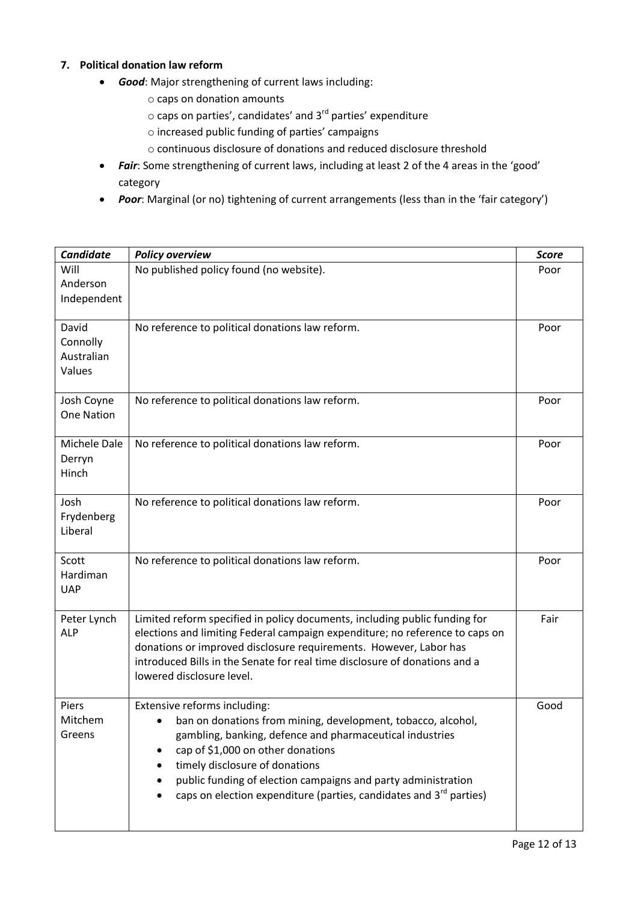### **7. Political donation law reform**

- *Good*: Major strengthening of current laws including:
	- o caps on donation amounts
	- $\circ$  caps on parties', candidates' and 3<sup>rd</sup> parties' expenditure
	- o increased public funding of parties' campaigns
	- o continuous disclosure of donations and reduced disclosure threshold
- *Fair*: Some strengthening of current laws, including at least 2 of the 4 areas in the 'good' category
- *Poor*: Marginal (or no) tightening of current arrangements (less than in the 'fair category')

| <b>Candidate</b>                          | <b>Policy overview</b>                                                                                                                                                                                                                                                                                                                                                             | <b>Score</b> |
|-------------------------------------------|------------------------------------------------------------------------------------------------------------------------------------------------------------------------------------------------------------------------------------------------------------------------------------------------------------------------------------------------------------------------------------|--------------|
| Will<br>Anderson<br>Independent           | No published policy found (no website).                                                                                                                                                                                                                                                                                                                                            | Poor         |
| David<br>Connolly<br>Australian<br>Values | No reference to political donations law reform.                                                                                                                                                                                                                                                                                                                                    | Poor         |
| Josh Coyne<br>One Nation                  | No reference to political donations law reform.                                                                                                                                                                                                                                                                                                                                    | Poor         |
| Michele Dale<br>Derryn<br>Hinch           | No reference to political donations law reform.                                                                                                                                                                                                                                                                                                                                    | Poor         |
| Josh<br>Frydenberg<br>Liberal             | No reference to political donations law reform.                                                                                                                                                                                                                                                                                                                                    | Poor         |
| Scott<br>Hardiman<br><b>UAP</b>           | No reference to political donations law reform.                                                                                                                                                                                                                                                                                                                                    | Poor         |
| Peter Lynch<br><b>ALP</b>                 | Limited reform specified in policy documents, including public funding for<br>elections and limiting Federal campaign expenditure; no reference to caps on<br>donations or improved disclosure requirements. However, Labor has<br>introduced Bills in the Senate for real time disclosure of donations and a<br>lowered disclosure level.                                         | Fair         |
| Piers<br>Mitchem<br>Greens                | Extensive reforms including:<br>ban on donations from mining, development, tobacco, alcohol,<br>gambling, banking, defence and pharmaceutical industries<br>cap of \$1,000 on other donations<br>timely disclosure of donations<br>public funding of election campaigns and party administration<br>caps on election expenditure (parties, candidates and 3 <sup>rd</sup> parties) | Good         |